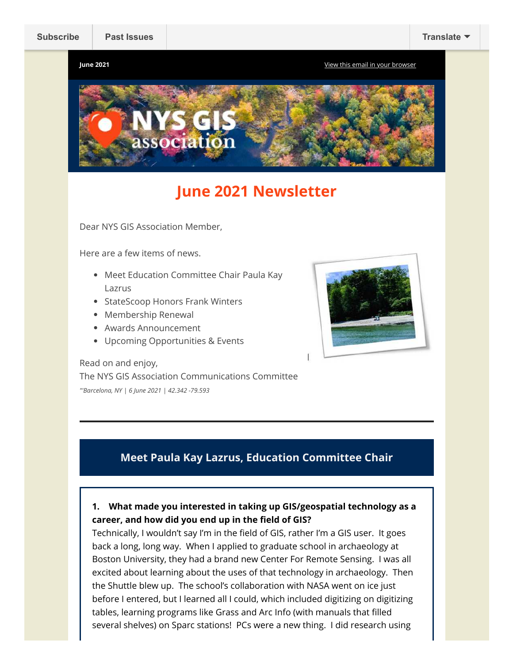**June 2021** [View this email in your browser](https://mailchi.mp/d2ccc0006a5d/newsletter-4791470?e=fca453a3fa)



# **June 2021 Newsletter**

Dear NYS GIS Association Member,

Here are a few items of news.

- Meet Education Committee Chair Paula Kay Lazrus
- StateScoop Honors Frank Winters
- Membership Renewal
- Awards Announcement
- Upcoming Opportunities & Events



Read on and enjoy, The NYS GIS Association Communications Committee *"'Barcelona, NY | 6 June 2021 | 42.342 -79.593*

## **Meet Paula Kay Lazrus, Education Committee Chair**

**1. What made you interested in taking up GIS/geospatial technology as a career, and how did you end up in the field of GIS?** 

Technically, I wouldn't say I'm in the field of GIS, rather I'm a GIS user. It goes back a long, long way. When I applied to graduate school in archaeology at Boston University, they had a brand new Center For Remote Sensing. I was all excited about learning about the uses of that technology in archaeology. Then the Shuttle blew up. The school's collaboration with NASA went on ice just before I entered, but I learned all I could, which included digitizing on digitizing tables, learning programs like Grass and Arc Info (with manuals that filled several shelves) on Sparc stations! PCs were a new thing. I did research using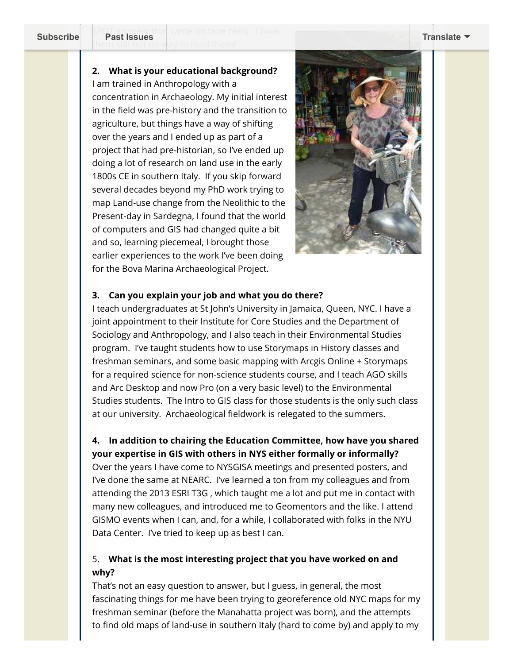)T imagery that came on tape reels. I have<br>Past Issues them still but no way to read them! **[Subscribe](http://eepurl.com/dPKLiT) Past Issues [Translate](javascript:;)**

#### **2. What is your educational background?**

I am trained in Anthropology with a concentration in Archaeology. My initial interest in the field was pre-history and the transition to agriculture, but things have a way of shifting over the years and I ended up as part of a project that had pre-historian, so I've ended up doing a lot of research on land use in the early 1800s CE in southern Italy. If you skip forward several decades beyond my PhD work trying to map Land-use change from the Neolithic to the Present-day in Sardegna, I found that the world of computers and GIS had changed quite a bit and so, learning piecemeal, I brought those earlier experiences to the work I've been doing for the Bova Marina Archaeological Project.



#### **3. Can you explain your job and what you do there?**

I teach undergraduates at St John's University in Jamaica, Queen, NYC. I have a joint appointment to their Institute for Core Studies and the Department of Sociology and Anthropology, and I also teach in their Environmental Studies program. I've taught students how to use Storymaps in History classes and freshman seminars, and some basic mapping with Arcgis Online + Storymaps for a required science for non-science students course, and I teach AGO skills and Arc Desktop and now Pro (on a very basic level) to the Environmental Studies students. The Intro to GIS class for those students is the only such class at our university. Archaeological fieldwork is relegated to the summers.

#### **4. In addition to chairing the Education Committee, how have you shared your expertise in GIS with others in NYS either formally or informally?**

Over the years I have come to NYSGISA meetings and presented posters, and I've done the same at NEARC. I've learned a ton from my colleagues and from attending the 2013 ESRI T3G , which taught me a lot and put me in contact with many new colleagues, and introduced me to Geomentors and the like. I attend GISMO events when I can, and, for a while, I collaborated with folks in the NYU Data Center. I've tried to keep up as best I can.

### 5. **What is the most interesting project that you have worked on and why?**

That's not an easy question to answer, but I guess, in general, the most fascinating things for me have been trying to georeference old NYC maps for my freshman seminar (before the Manahatta project was born), and the attempts to find old maps of land-use in southern Italy (hard to come by) and apply to my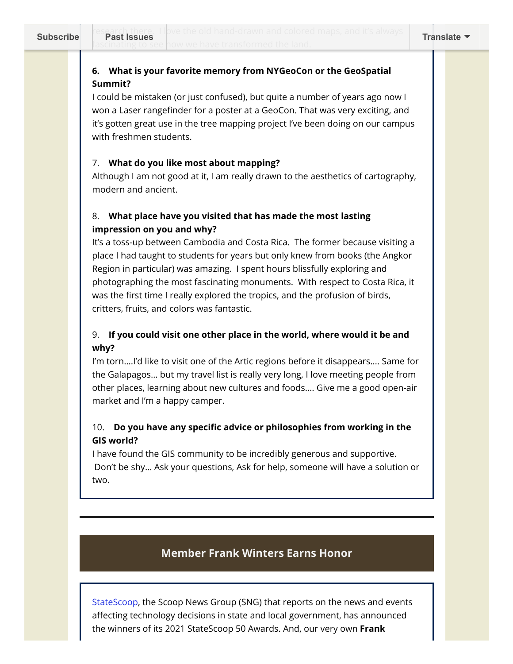### **6. What is your favorite memory from NYGeoCon or the GeoSpatial Summit?**

I could be mistaken (or just confused), but quite a number of years ago now I won a Laser rangefinder for a poster at a GeoCon. That was very exciting, and it's gotten great use in the tree mapping project I've been doing on our campus with freshmen students.

#### 7. **What do you like most about mapping?**

Although I am not good at it, I am really drawn to the aesthetics of cartography, modern and ancient.

### 8. **What place have you visited that has made the most lasting impression on you and why?**

It's a toss-up between Cambodia and Costa Rica. The former because visiting a place I had taught to students for years but only knew from books (the Angkor Region in particular) was amazing. I spent hours blissfully exploring and photographing the most fascinating monuments. With respect to Costa Rica, it was the first time I really explored the tropics, and the profusion of birds, critters, fruits, and colors was fantastic.

### 9. **If you could visit one other place in the world, where would it be and why?**

I'm torn….I'd like to visit one of the Artic regions before it disappears…. Same for the Galapagos… but my travel list is really very long, I love meeting people from other places, learning about new cultures and foods…. Give me a good open-air market and I'm a happy camper.

### 10. **Do you have any specific advice or philosophies from working in the GIS world?**

I have found the GIS community to be incredibly generous and supportive. Don't be shy… Ask your questions, Ask for help, someone will have a solution or two.

## **Member Frank Winters Earns Honor**

[StateScoop,](https://statescoop.com/) the Scoop News Group (SNG) that reports on the news and events affecting technology decisions in state and local government, has announced the winners of its 2021 StateScoop 50 Awards. And, our very own **Frank**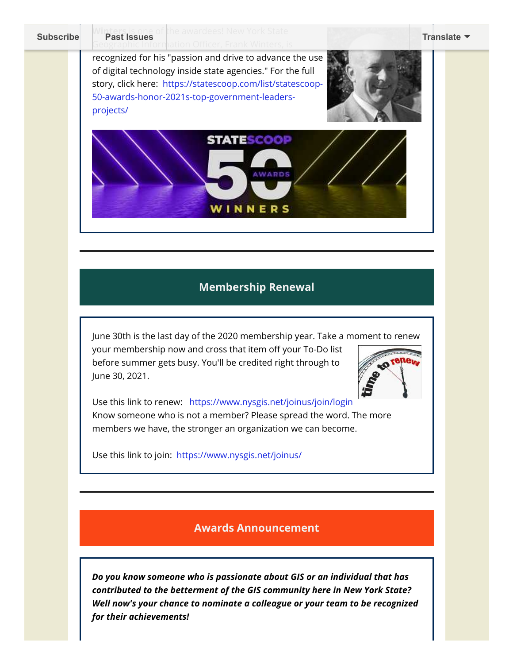**Thers** is one of the awardees! New York State **[Subscribe](http://eepurl.com/dPKLiT) Past Issues [Translate](javascript:;)**

> recognized for his "passion and drive to advance the use of digital technology inside state agencies." For the full [story, click here: https://statescoop.com/list/statescoop-](https://statescoop.com/list/statescoop-50-awards-honor-2021s-top-government-leaders-projects/)50-awards-honor-2021s-top-government-leadersprojects/





### **Membership Renewal**

June 30th is the last day of the 2020 membership year. Take a moment to renew your membership now and cross that item off your To-Do list before summer gets busy. You'll be credited right through to June 30, 2021.



Use this link to renew: <https://www.nysgis.net/joinus/join/login> Know someone who is not a member? Please spread the word. The more members we have, the stronger an organization we can become.

Use this link to join: <https://www.nysgis.net/joinus/>

#### **Awards Announcement**

*Do you know someone who is passionate about GIS or an individual that has contributed to the betterment of the GIS community here in New York State? Well now's your chance to nominate a colleague or your team to be recognized for their achievements!*